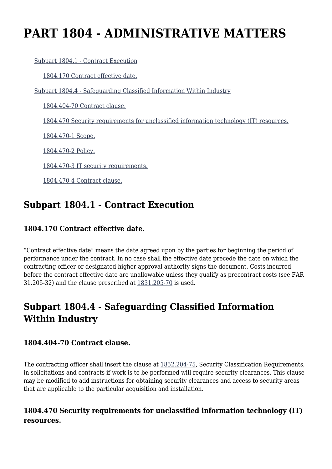# **PART 1804 - ADMINISTRATIVE MATTERS**

[Subpart 1804.1 - Contract Execution](https://login.acquisition.gov/%5Brp:link:nfs-part-1804%5D#Subpart_1804_1_T48_6041641)

[1804.170 Contract effective date.](https://login.acquisition.gov/%5Brp:link:nfs-part-1804%5D#Section_1804_170_T48_604164111)

[Subpart 1804.4 - Safeguarding Classified Information Within Industry](https://login.acquisition.gov/%5Brp:link:nfs-part-1804%5D#Subpart_1804_4_T48_6041642)

[1804.404-70 Contract clause.](https://login.acquisition.gov/%5Brp:link:nfs-part-1804%5D#Section_1804_404_70_T48_604164211)

[1804.470 Security requirements for unclassified information technology \(IT\) resources.](https://login.acquisition.gov/%5Brp:link:nfs-part-1804%5D#Section_1804_470_T48_604164212)

[1804.470-1 Scope.](https://login.acquisition.gov/%5Brp:link:nfs-part-1804%5D#Section_1804_470_1_T48_604164213)

[1804.470-2 Policy.](https://login.acquisition.gov/%5Brp:link:nfs-part-1804%5D#Section_1804_470_2_T48_604164214)

[1804.470-3 IT security requirements.](https://login.acquisition.gov/%5Brp:link:nfs-part-1804%5D#Section_1804_470_3_T48_604164215)

[1804.470-4 Contract clause.](https://login.acquisition.gov/%5Brp:link:nfs-part-1804%5D#Section_1804_470_4_T48_604164216)

# **Subpart 1804.1 - Contract Execution**

# **1804.170 Contract effective date.**

"Contract effective date" means the date agreed upon by the parties for beginning the period of performance under the contract. In no case shall the effective date precede the date on which the contracting officer or designated higher approval authority signs the document. Costs incurred before the contract effective date are unallowable unless they qualify as precontract costs (see FAR 31.205-32) and the clause prescribed at [1831.205-70](https://login.acquisition.gov/%5Brp:link:nfs-part-1831%5D#Section_1831_205_70_T48_6042025112) is used.

# **Subpart 1804.4 - Safeguarding Classified Information Within Industry**

## **1804.404-70 Contract clause.**

The contracting officer shall insert the clause at  $1852.204$ -75, Security Classification Requirements, in solicitations and contracts if work is to be performed will require security clearances. This clause may be modified to add instructions for obtaining security clearances and access to security areas that are applicable to the particular acquisition and installation.

# **1804.470 Security requirements for unclassified information technology (IT) resources.**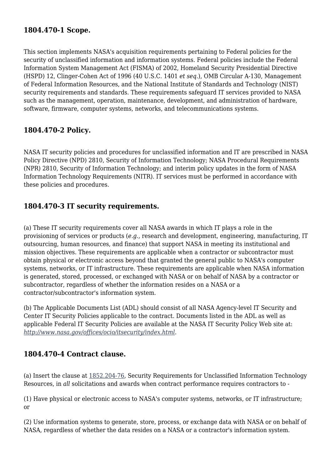## **1804.470-1 Scope.**

This section implements NASA's acquisition requirements pertaining to Federal policies for the security of unclassified information and information systems. Federal policies include the Federal Information System Management Act (FISMA) of 2002, Homeland Security Presidential Directive (HSPD) 12, Clinger-Cohen Act of 1996 (40 U.S.C. 1401 *et seq.*), OMB Circular A-130, Management of Federal Information Resources, and the National Institute of Standards and Technology (NIST) security requirements and standards. These requirements safeguard IT services provided to NASA such as the management, operation, maintenance, development, and administration of hardware, software, firmware, computer systems, networks, and telecommunications systems.

## **1804.470-2 Policy.**

NASA IT security policies and procedures for unclassified information and IT are prescribed in NASA Policy Directive (NPD) 2810, Security of Information Technology; NASA Procedural Requirements (NPR) 2810, Security of Information Technology; and interim policy updates in the form of NASA Information Technology Requirements (NITR). IT services must be performed in accordance with these policies and procedures.

## **1804.470-3 IT security requirements.**

(a) These IT security requirements cover all NASA awards in which IT plays a role in the provisioning of services or products (*e.g.,* research and development, engineering, manufacturing, IT outsourcing, human resources, and finance) that support NASA in meeting its institutional and mission objectives. These requirements are applicable when a contractor or subcontractor must obtain physical or electronic access beyond that granted the general public to NASA's computer systems, networks, or IT infrastructure. These requirements are applicable when NASA information is generated, stored, processed, or exchanged with NASA or on behalf of NASA by a contractor or subcontractor, regardless of whether the information resides on a NASA or a contractor/subcontractor's information system.

(b) The Applicable Documents List (ADL) should consist of all NASA Agency-level IT Security and Center IT Security Policies applicable to the contract. Documents listed in the ADL as well as applicable Federal IT Security Policies are available at the NASA IT Security Policy Web site at: *[http://www.nasa.gov/offices/ocio/itsecurity/index.html.](http://www.nasa.gov/offices/ocio/itsecurity/index.html)*

## **1804.470-4 Contract clause.**

(a) Insert the clause at [1852.204-76,](https://login.acquisition.gov/%5Brp:link:nfs-part-1852%5D#Section_1852_204_76_T48_6042344114) Security Requirements for Unclassified Information Technology Resources, in *all* solicitations and awards when contract performance requires contractors to -

(1) Have physical or electronic access to NASA's computer systems, networks, or IT infrastructure; or

(2) Use information systems to generate, store, process, or exchange data with NASA or on behalf of NASA, regardless of whether the data resides on a NASA or a contractor's information system.